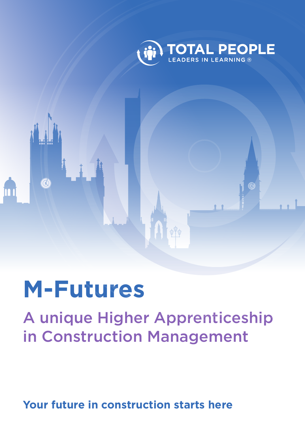

# **M-Futures**

A unique Higher Apprenticeship in Construction Management

**Your future in construction starts here**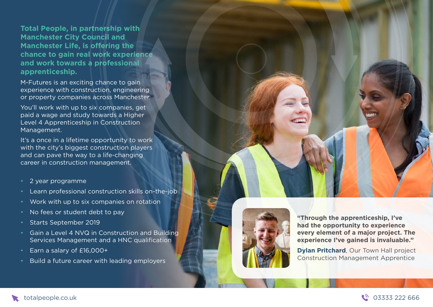**Total People, in partnership with Manchester City Council and Manchester Life, is offering the chance to gain real work experience and work towards a professional apprenticeship.**

M-Futures is an exciting chance to gain experience with construction, engineering or property companies across Manchester.

You'll work with up to six companies, get paid a wage and study towards a Higher Level 4 Apprenticeship in Construction Management.

It's a once in a lifetime opportunity to work with the city's biggest construction players and can pave the way to a life-changing career in construction management.

#### 2 year programme

- Learn professional construction skills on-the-job
- Work with up to six companies on rotation
- No fees or student debt to pay
- Starts September 2019
- Gain a Level 4 NVQ in Construction and Building Services Management and a HNC qualification
- Earn a salary of £16,000+
- Build a future career with leading employers



**"Through the apprenticeship, I've had the opportunity to experience every element of a major project. The experience I've gained is invaluable."**

**Dylan Pritchard**, Our Town Hall project Construction Management Apprentice



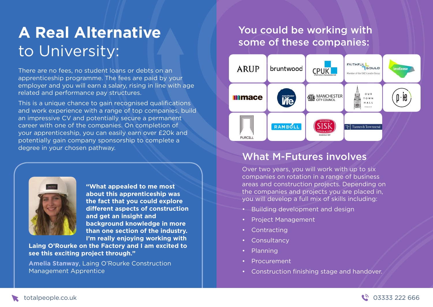# **A Real Alternative** to University:

There are no fees, no student loans or debts on an apprenticeship programme. The fees are paid by your employer and you will earn a salary, rising in line with age related and performance pay structures.

This is a unique chance to gain recognised qualifications and work experience with a range of top companies, build an impressive CV and potentially secure a permanent career with one of the companies. On completion of your apprenticeship, you can easily earn over £20k and potentially gain company sponsorship to complete a degree in your chosen pathway.



**"What appealed to me most about this apprenticeship was the fact that you could explore different aspects of construction and get an insight and background knowledge in more than one section of the industry. I'm really enjoying working with** 

**Laing O'Rourke on the Factory and I am excited to see this exciting project through."**

**Amelia Stanway**, Laing O'Rourke Construction Management Apprentice

## You could be working with some of these companies:



## What M-Futures involves

Over two years, you will work with up to six companies on rotation in a range of business areas and construction projects. Depending on the companies and projects you are placed in, you will develop a full mix of skills including:

- Building development and design
- Project Management
- **Contracting**
- Consultancy
- Planning
- Procurement
- Construction finishing stage and handover.

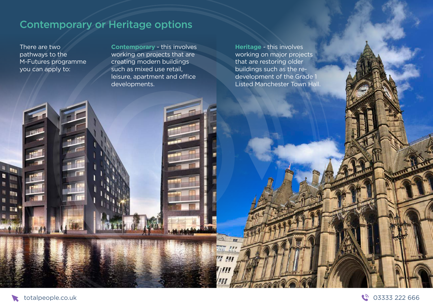# Contemporary or Heritage options

There are two pathways to the M-Futures programme you can apply to:

**Contemporary** - this involves working on projects that are creating modern buildings such as mixed use retail, leisure, apartment and office developments.

**Heritage** - this involves working on major projects that are restoring older buildings such as the redevelopment of the Grade 1 Listed Manchester Town Hall.

TER

tate  $\frac{1}{2}$ 

**FE FAT** 



甜 **Bu** 

**D** 

**Read** 图 四 li ar